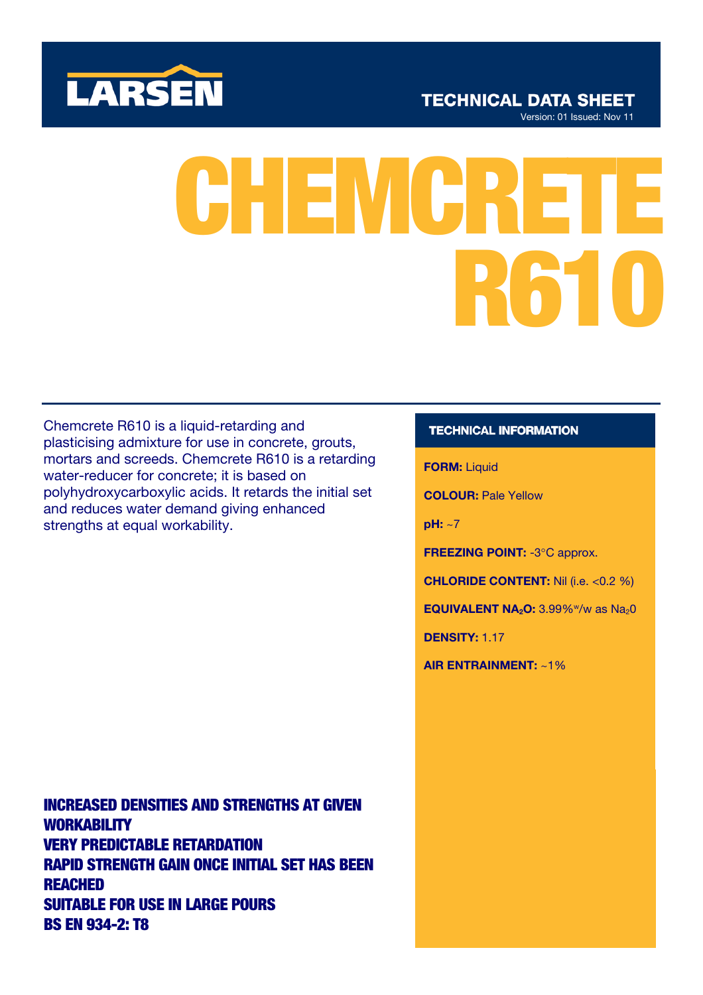

**R CHEMCRI** 

Chemcrete R610 is a liquid-retarding and plasticising admixture for use in concrete, grouts, mortars and screeds. Chemcrete R610 is a retarding water-reducer for concrete; it is based on polyhydroxycarboxylic acids. It retards the initial set and reduces water demand giving enhanced strengths at equal workability.

INCREASED DENSITIES AND STRENGTHS AT GIVEN **WORKABILITY** VERY PREDICTABLE RETARDATION RAPID STRENGTH GAIN ONCE INITIAL SET HAS BEEN REACHED SUITABLE FOR USE IN LARGE POURS BS EN 934-2: T8

# **TECHNICAL INFORMATION**

FORM: Liquid

COLOUR: Pale Yellow

pH: ~7

FREEZING POINT: -3°C approx.

CHLORIDE CONTENT: Nil (i.e. <0.2 %)

EQUIVALENT  $NA<sub>2</sub>O: 3.99\%$ <sup>w</sup>/w as  $Na<sub>2</sub>O$ 

DENSITY: 1.17

AIR ENTRAINMENT: ~1%